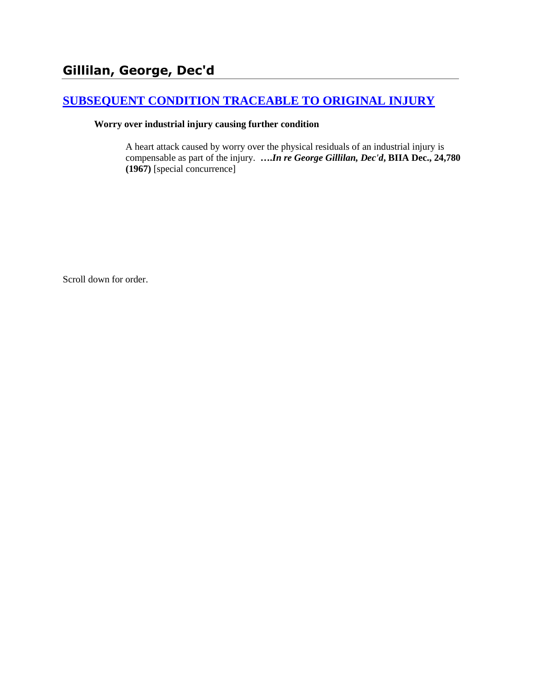## **[SUBSEQUENT CONDITION TRACEABLE TO ORIGINAL INJURY](http://www.biia.wa.gov/SDSubjectIndex.html#SUBSEQUENT_CONDITION_TRACEABLE_TO_ORIGINAL_INJURY)**

#### **Worry over industrial injury causing further condition**

A heart attack caused by worry over the physical residuals of an industrial injury is compensable as part of the injury. **….***In re George Gillilan, Dec'd***, BIIA Dec., 24,780 (1967)** [special concurrence]

Scroll down for order.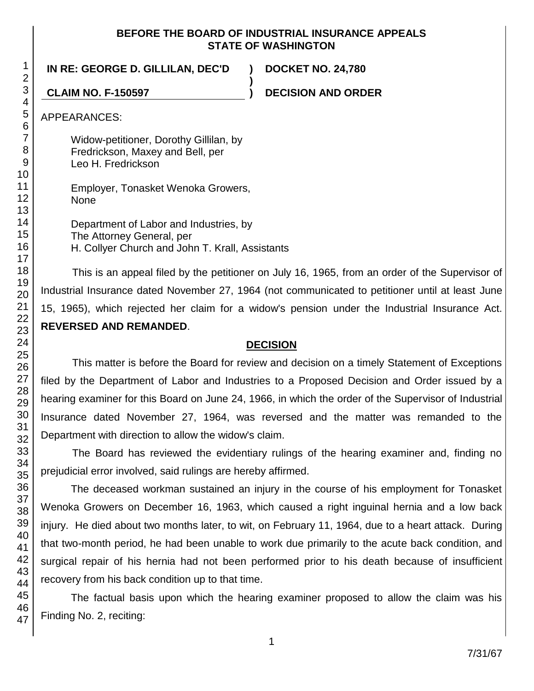#### **BEFORE THE BOARD OF INDUSTRIAL INSURANCE APPEALS STATE OF WASHINGTON**

**)**

**IN RE: GEORGE D. GILLILAN, DEC'D ) DOCKET NO. 24,780**

**CLAIM NO. F-150597 ) DECISION AND ORDER**

APPEARANCES:

Widow-petitioner, Dorothy Gillilan, by Fredrickson, Maxey and Bell, per Leo H. Fredrickson

Employer, Tonasket Wenoka Growers, None

Department of Labor and Industries, by The Attorney General, per H. Collyer Church and John T. Krall, Assistants

This is an appeal filed by the petitioner on July 16, 1965, from an order of the Supervisor of Industrial Insurance dated November 27, 1964 (not communicated to petitioner until at least June 15, 1965), which rejected her claim for a widow's pension under the Industrial Insurance Act. **REVERSED AND REMANDED**.

#### **DECISION**

This matter is before the Board for review and decision on a timely Statement of Exceptions filed by the Department of Labor and Industries to a Proposed Decision and Order issued by a hearing examiner for this Board on June 24, 1966, in which the order of the Supervisor of Industrial Insurance dated November 27, 1964, was reversed and the matter was remanded to the Department with direction to allow the widow's claim.

The Board has reviewed the evidentiary rulings of the hearing examiner and, finding no prejudicial error involved, said rulings are hereby affirmed.

The deceased workman sustained an injury in the course of his employment for Tonasket Wenoka Growers on December 16, 1963, which caused a right inguinal hernia and a low back injury. He died about two months later, to wit, on February 11, 1964, due to a heart attack. During that two-month period, he had been unable to work due primarily to the acute back condition, and surgical repair of his hernia had not been performed prior to his death because of insufficient recovery from his back condition up to that time.

The factual basis upon which the hearing examiner proposed to allow the claim was his Finding No. 2, reciting: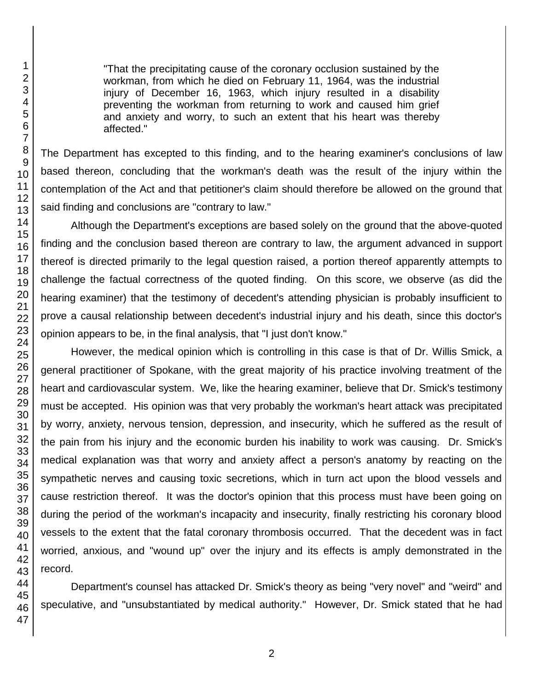"That the precipitating cause of the coronary occlusion sustained by the workman, from which he died on February 11, 1964, was the industrial injury of December 16, 1963, which injury resulted in a disability preventing the workman from returning to work and caused him grief and anxiety and worry, to such an extent that his heart was thereby affected."

The Department has excepted to this finding, and to the hearing examiner's conclusions of law based thereon, concluding that the workman's death was the result of the injury within the contemplation of the Act and that petitioner's claim should therefore be allowed on the ground that said finding and conclusions are "contrary to law."

Although the Department's exceptions are based solely on the ground that the above-quoted finding and the conclusion based thereon are contrary to law, the argument advanced in support thereof is directed primarily to the legal question raised, a portion thereof apparently attempts to challenge the factual correctness of the quoted finding. On this score, we observe (as did the hearing examiner) that the testimony of decedent's attending physician is probably insufficient to prove a causal relationship between decedent's industrial injury and his death, since this doctor's opinion appears to be, in the final analysis, that "I just don't know."

However, the medical opinion which is controlling in this case is that of Dr. Willis Smick, a general practitioner of Spokane, with the great majority of his practice involving treatment of the heart and cardiovascular system. We, like the hearing examiner, believe that Dr. Smick's testimony must be accepted. His opinion was that very probably the workman's heart attack was precipitated by worry, anxiety, nervous tension, depression, and insecurity, which he suffered as the result of the pain from his injury and the economic burden his inability to work was causing. Dr. Smick's medical explanation was that worry and anxiety affect a person's anatomy by reacting on the sympathetic nerves and causing toxic secretions, which in turn act upon the blood vessels and cause restriction thereof. It was the doctor's opinion that this process must have been going on during the period of the workman's incapacity and insecurity, finally restricting his coronary blood vessels to the extent that the fatal coronary thrombosis occurred. That the decedent was in fact worried, anxious, and "wound up" over the injury and its effects is amply demonstrated in the record.

Department's counsel has attacked Dr. Smick's theory as being "very novel" and "weird" and speculative, and "unsubstantiated by medical authority." However, Dr. Smick stated that he had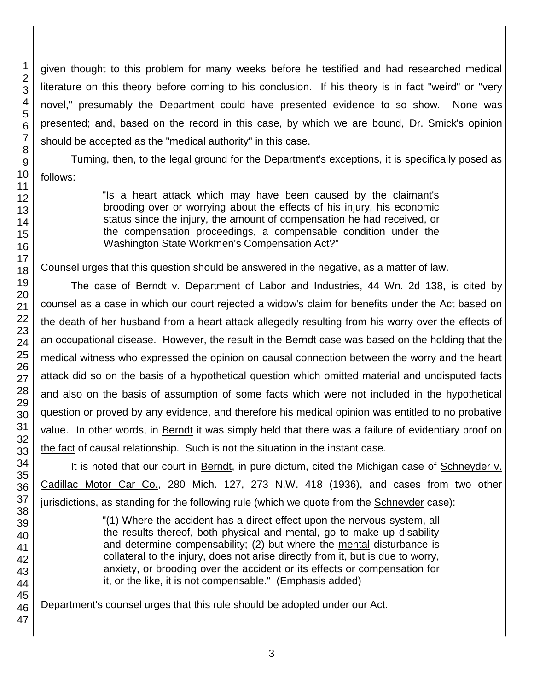given thought to this problem for many weeks before he testified and had researched medical literature on this theory before coming to his conclusion. If his theory is in fact "weird" or "very novel," presumably the Department could have presented evidence to so show. None was presented; and, based on the record in this case, by which we are bound, Dr. Smick's opinion should be accepted as the "medical authority" in this case.

Turning, then, to the legal ground for the Department's exceptions, it is specifically posed as follows:

> "Is a heart attack which may have been caused by the claimant's brooding over or worrying about the effects of his injury, his economic status since the injury, the amount of compensation he had received, or the compensation proceedings, a compensable condition under the Washington State Workmen's Compensation Act?"

Counsel urges that this question should be answered in the negative, as a matter of law.

The case of Berndt v. Department of Labor and Industries, 44 Wn. 2d 138, is cited by counsel as a case in which our court rejected a widow's claim for benefits under the Act based on the death of her husband from a heart attack allegedly resulting from his worry over the effects of an occupational disease. However, the result in the **Berndt** case was based on the holding that the medical witness who expressed the opinion on causal connection between the worry and the heart attack did so on the basis of a hypothetical question which omitted material and undisputed facts and also on the basis of assumption of some facts which were not included in the hypothetical question or proved by any evidence, and therefore his medical opinion was entitled to no probative value. In other words, in Berndt it was simply held that there was a failure of evidentiary proof on the fact of causal relationship. Such is not the situation in the instant case.

It is noted that our court in Berndt, in pure dictum, cited the Michigan case of Schneyder v. Cadillac Motor Car Co., 280 Mich. 127, 273 N.W. 418 (1936), and cases from two other jurisdictions, as standing for the following rule (which we quote from the Schneyder case):

> "(1) Where the accident has a direct effect upon the nervous system, all the results thereof, both physical and mental, go to make up disability and determine compensability; (2) but where the mental disturbance is collateral to the injury, does not arise directly from it, but is due to worry, anxiety, or brooding over the accident or its effects or compensation for it, or the like, it is not compensable." (Emphasis added)

Department's counsel urges that this rule should be adopted under our Act.

1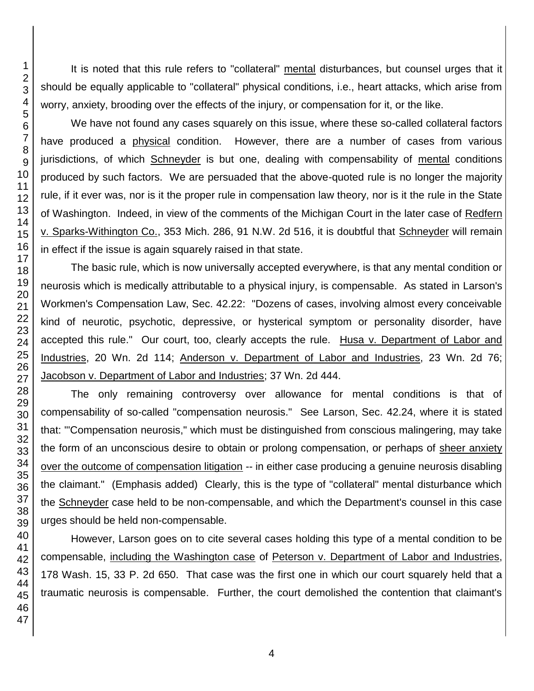It is noted that this rule refers to "collateral" mental disturbances, but counsel urges that it should be equally applicable to "collateral" physical conditions, i.e., heart attacks, which arise from worry, anxiety, brooding over the effects of the injury, or compensation for it, or the like.

We have not found any cases squarely on this issue, where these so-called collateral factors have produced a physical condition. However, there are a number of cases from various jurisdictions, of which Schneyder is but one, dealing with compensability of mental conditions produced by such factors. We are persuaded that the above-quoted rule is no longer the majority rule, if it ever was, nor is it the proper rule in compensation law theory, nor is it the rule in the State of Washington. Indeed, in view of the comments of the Michigan Court in the later case of Redfern v. Sparks-Withington Co., 353 Mich. 286, 91 N.W. 2d 516, it is doubtful that Schneyder will remain in effect if the issue is again squarely raised in that state.

The basic rule, which is now universally accepted everywhere, is that any mental condition or neurosis which is medically attributable to a physical injury, is compensable. As stated in Larson's Workmen's Compensation Law, Sec. 42.22: "Dozens of cases, involving almost every conceivable kind of neurotic, psychotic, depressive, or hysterical symptom or personality disorder, have accepted this rule." Our court, too, clearly accepts the rule. Husa v. Department of Labor and Industries, 20 Wn. 2d 114; Anderson v. Department of Labor and Industries, 23 Wn. 2d 76; Jacobson v. Department of Labor and Industries; 37 Wn. 2d 444.

The only remaining controversy over allowance for mental conditions is that of compensability of so-called "compensation neurosis." See Larson, Sec. 42.24, where it is stated that: "'Compensation neurosis," which must be distinguished from conscious malingering, may take the form of an unconscious desire to obtain or prolong compensation, or perhaps of sheer anxiety over the outcome of compensation litigation -- in either case producing a genuine neurosis disabling the claimant." (Emphasis added) Clearly, this is the type of "collateral" mental disturbance which the Schneyder case held to be non-compensable, and which the Department's counsel in this case urges should be held non-compensable.

However, Larson goes on to cite several cases holding this type of a mental condition to be compensable, including the Washington case of Peterson v. Department of Labor and Industries, 178 Wash. 15, 33 P. 2d 650. That case was the first one in which our court squarely held that a traumatic neurosis is compensable. Further, the court demolished the contention that claimant's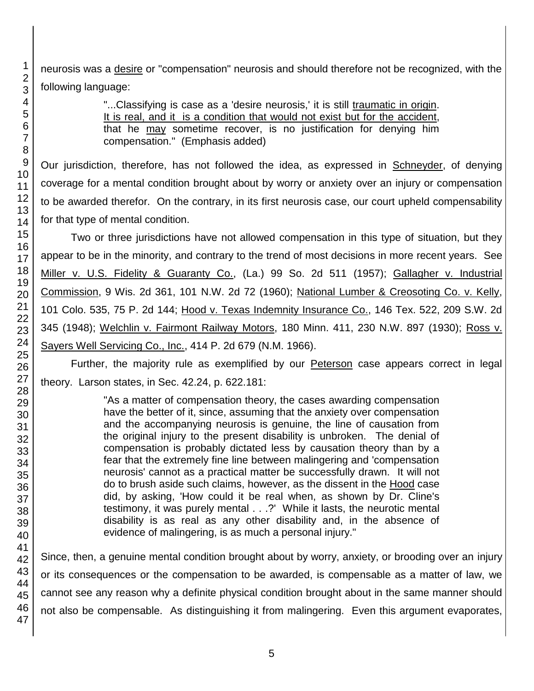neurosis was a desire or "compensation" neurosis and should therefore not be recognized, with the following language:

> "...Classifying is case as a 'desire neurosis,' it is still traumatic in origin. It is real, and it is a condition that would not exist but for the accident, that he may sometime recover, is no justification for denying him compensation." (Emphasis added)

Our jurisdiction, therefore, has not followed the idea, as expressed in Schneyder, of denying coverage for a mental condition brought about by worry or anxiety over an injury or compensation to be awarded therefor. On the contrary, in its first neurosis case, our court upheld compensability for that type of mental condition.

Two or three jurisdictions have not allowed compensation in this type of situation, but they appear to be in the minority, and contrary to the trend of most decisions in more recent years. See Miller v. U.S. Fidelity & Guaranty Co., (La.) 99 So. 2d 511 (1957); Gallagher v. Industrial Commission, 9 Wis. 2d 361, 101 N.W. 2d 72 (1960); National Lumber & Creosoting Co. v. Kelly, 101 Colo. 535, 75 P. 2d 144; Hood v. Texas Indemnity Insurance Co., 146 Tex. 522, 209 S.W. 2d 345 (1948); Welchlin v. Fairmont Railway Motors, 180 Minn. 411, 230 N.W. 897 (1930); Ross v. Sayers Well Servicing Co., Inc., 414 P. 2d 679 (N.M. 1966).

Further, the majority rule as exemplified by our Peterson case appears correct in legal theory. Larson states, in Sec. 42.24, p. 622.181:

> "As a matter of compensation theory, the cases awarding compensation have the better of it, since, assuming that the anxiety over compensation and the accompanying neurosis is genuine, the line of causation from the original injury to the present disability is unbroken. The denial of compensation is probably dictated less by causation theory than by a fear that the extremely fine line between malingering and 'compensation neurosis' cannot as a practical matter be successfully drawn. It will not do to brush aside such claims, however, as the dissent in the Hood case did, by asking, 'How could it be real when, as shown by Dr. Cline's testimony, it was purely mental . . .?' While it lasts, the neurotic mental disability is as real as any other disability and, in the absence of evidence of malingering, is as much a personal injury."

Since, then, a genuine mental condition brought about by worry, anxiety, or brooding over an injury or its consequences or the compensation to be awarded, is compensable as a matter of law, we cannot see any reason why a definite physical condition brought about in the same manner should not also be compensable. As distinguishing it from malingering. Even this argument evaporates,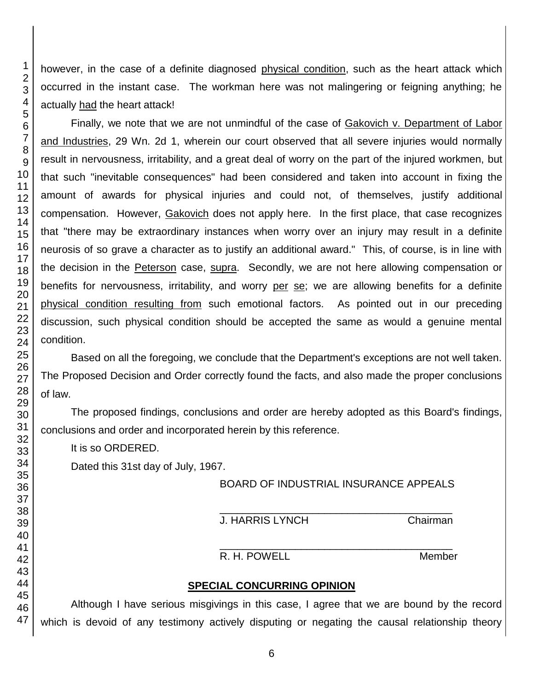however, in the case of a definite diagnosed physical condition, such as the heart attack which occurred in the instant case. The workman here was not malingering or feigning anything; he actually had the heart attack!

Finally, we note that we are not unmindful of the case of Gakovich v. Department of Labor and Industries, 29 Wn. 2d 1, wherein our court observed that all severe injuries would normally result in nervousness, irritability, and a great deal of worry on the part of the injured workmen, but that such "inevitable consequences" had been considered and taken into account in fixing the amount of awards for physical injuries and could not, of themselves, justify additional compensation. However, Gakovich does not apply here. In the first place, that case recognizes that "there may be extraordinary instances when worry over an injury may result in a definite neurosis of so grave a character as to justify an additional award." This, of course, is in line with the decision in the Peterson case, supra. Secondly, we are not here allowing compensation or benefits for nervousness, irritability, and worry per se; we are allowing benefits for a definite physical condition resulting from such emotional factors. As pointed out in our preceding discussion, such physical condition should be accepted the same as would a genuine mental condition.

Based on all the foregoing, we conclude that the Department's exceptions are not well taken. The Proposed Decision and Order correctly found the facts, and also made the proper conclusions

The proposed findings, conclusions and order are hereby adopted as this Board's findings, conclusions and order and incorporated herein by this reference.

It is so ORDERED.

Dated this 31st day of July, 1967.

## BOARD OF INDUSTRIAL INSURANCE APPEALS

## J. HARRIS LYNCH Chairman

\_\_\_\_\_\_\_\_\_\_\_\_\_\_\_\_\_\_\_\_\_\_\_\_\_\_\_\_\_\_\_\_\_\_\_\_\_\_\_\_

#### \_\_\_\_\_\_\_\_\_\_\_\_\_\_\_\_\_\_\_\_\_\_\_\_\_\_\_\_\_\_\_\_\_\_\_\_\_\_\_\_ R. H. POWELL Member

# **SPECIAL CONCURRING OPINION**

Although I have serious misgivings in this case, I agree that we are bound by the record which is devoid of any testimony actively disputing or negating the causal relationship theory